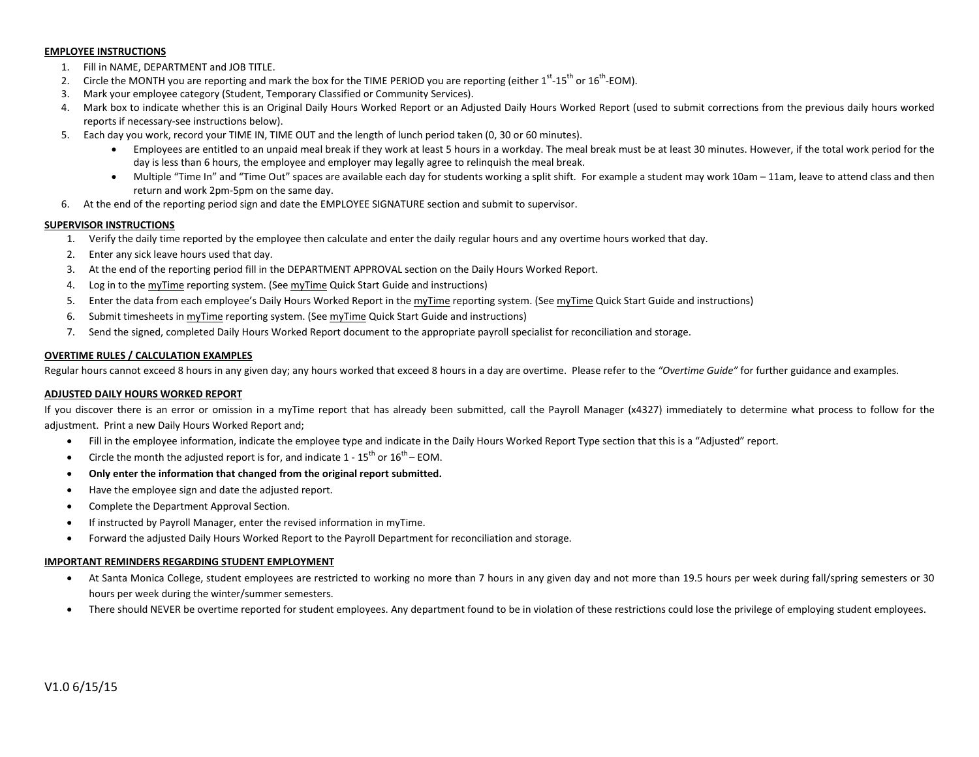#### **EMPLOYEE INSTRUCTIONS**

- 1. Fill in NAME, DEPARTMENT and JOB TITLE.
- 2. Circle the MONTH you are reporting and mark the box for the TIME PERIOD you are reporting (either 1<sup>st</sup>-15<sup>th</sup> or 16<sup>th</sup>-EOM).
- 3. Mark your employee category (Student, Temporary Classified or Community Services).
- 4. Mark box to indicate whether this is an Original Daily Hours Worked Report or an Adjusted Daily Hours Worked Report (used to submit corrections from the previous daily hours worked reports if necessary-see instructions below).
- 5. Each day you work, record your TIME IN, TIME OUT and the length of lunch period taken (0, 30 or 60 minutes).
	- Employees are entitled to an unpaid meal break if they work at least 5 hours in a workday. The meal break must be at least 30 minutes. However, if the total work period for the day is less than 6 hours, the employee and employer may legally agree to relinquish the meal break.
	- Multiple "Time In" and "Time Out" spaces are available each day for students working a split shift. For example a student may work 10am 11am, leave to attend class and then return and work 2pm-5pm on the same day.
- 6. At the end of the reporting period sign and date the EMPLOYEE SIGNATURE section and submit to supervisor.

### **SUPERVISOR INSTRUCTIONS**

- 1. Verify the daily time reported by the employee then calculate and enter the daily regular hours and any overtime hours worked that day.
- 2. Enter any sick leave hours used that day.
- 3. At the end of the reporting period fill in the DEPARTMENT APPROVAL section on the Daily Hours Worked Report.
- 4. Log in to the myTime reporting system. (See myTime Quick Start Guide and instructions)
- 5. Enter the data from each employee's Daily Hours Worked Report in the myTime reporting system. (See myTime Quick Start Guide and instructions)
- 6. Submit timesheets in myTime reporting system. (See myTime Quick Start Guide and instructions)
- 7. Send the signed, completed Daily Hours Worked Report document to the appropriate payroll specialist for reconciliation and storage.

#### **OVERTIME RULES / CALCULATION EXAMPLES**

Regular hours cannot exceed 8 hours in any given day; any hours worked that exceed 8 hours in a day are overtime. Please refer to the "Overtime Guide" for further guidance and examples.

#### **ADJUSTED DAILY HOURS WORKED REPORT**

If you discover there is an error or omission in a myTime report that has already been submitted, call the Payroll Manager (x4327) immediately to determine what process to follow for the adjustment. Print a new Daily Hours Worked Report and;

- Fill in the employee information, indicate the employee type and indicate in the Daily Hours Worked Report Type section that this is a "Adjusted" report.
- Circle the month the adjusted report is for, and indicate  $1 15^{th}$  or  $16^{th}$  EOM.
- **Only enter the information that changed from the original report submitted.**
- Have the employee sign and date the adjusted report.
- Complete the Department Approval Section.
- If instructed by Payroll Manager, enter the revised information in myTime.
- Forward the adjusted Daily Hours Worked Report to the Payroll Department for reconciliation and storage.

#### **IMPORTANT REMINDERS REGARDING STUDENT EMPLOYMENT**

- At Santa Monica College, student employees are restricted to working no more than 7 hours in any given day and not more than 19.5 hours per week during fall/spring semesters or 30 hours per week during the winter/summer semesters.
- There should NEVER be overtime reported for student employees. Any department found to be in violation of these restrictions could lose the privilege of employing student employees.